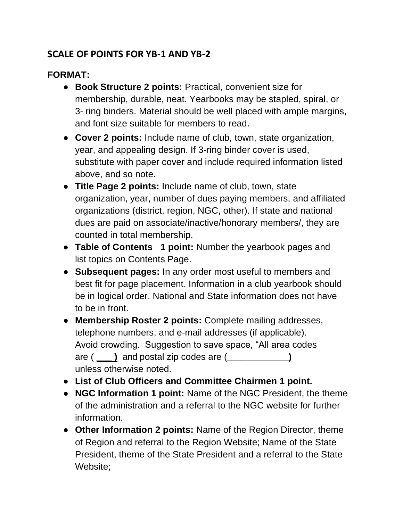## **SCALE OF POINTS FOR YB-1 AND YB-2**

## **FORMAT:**

- **Book Structure 2 points:** Practical, convenient size for membership, durable, neat. Yearbooks may be stapled, spiral, or 3- ring binders. Material should be well placed with ample margins, and font size suitable for members to read.
- **Cover 2 points:** Include name of club, town, state organization, year, and appealing design. If 3-ring binder cover is used, substitute with paper cover and include required information listed above, and so note.
- **Title Page 2 points:** Include name of club, town, state organization, year, number of dues paying members, and affiliated organizations (district, region, NGC, other). If state and national dues are paid on associate/inactive/honorary members/, they are counted in total membership.
- **Table of Contents 1 point:** Number the yearbook pages and list topics on Contents Page.
- **Subsequent pages:** In any order most useful to members and best fit for page placement. Information in a club yearbook should be in logical order. National and State information does not have to be in front.
- **Membership Roster 2 points:** Complete mailing addresses, telephone numbers, and e-mail addresses (if applicable). Avoid crowding. Suggestion to save space, "All area codes are ( **\_\_\_ )** and postal zip codes are (**\_\_\_\_\_\_\_\_\_\_\_\_)** unless otherwise noted.
- **List of Club Officers and Committee Chairmen 1 point.**
- **NGC Information 1 point:** Name of the NGC President, the theme of the administration and a referral to the NGC website for further information.
- **Other Information 2 points:** Name of the Region Director, theme of Region and referral to the Region Website; Name of the State President, theme of the State President and a referral to the State Website;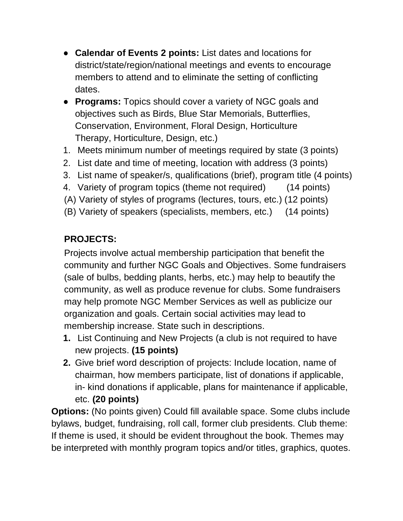- **Calendar of Events 2 points:** List dates and locations for district/state/region/national meetings and events to encourage members to attend and to eliminate the setting of conflicting dates.
- **Programs:** Topics should cover a variety of NGC goals and objectives such as Birds, Blue Star Memorials, Butterflies, Conservation, Environment, Floral Design, Horticulture Therapy, Horticulture, Design, etc.)
- 1. Meets minimum number of meetings required by state (3 points)
- 2. List date and time of meeting, location with address (3 points)
- 3. List name of speaker/s, qualifications (brief), program title (4 points)
- 4. Variety of program topics (theme not required) (14 points)
- (A) Variety of styles of programs (lectures, tours, etc.) (12 points)
- (B) Variety of speakers (specialists, members, etc.) (14 points)

## **PROJECTS:**

Projects involve actual membership participation that benefit the community and further NGC Goals and Objectives. Some fundraisers (sale of bulbs, bedding plants, herbs, etc.) may help to beautify the community, as well as produce revenue for clubs. Some fundraisers may help promote NGC Member Services as well as publicize our organization and goals. Certain social activities may lead to membership increase. State such in descriptions.

- **1.** List Continuing and New Projects (a club is not required to have new projects. **(15 points)**
- **2.** Give brief word description of projects: Include location, name of chairman, how members participate, list of donations if applicable, in- kind donations if applicable, plans for maintenance if applicable, etc. **(20 points)**

**Options:** (No points given) Could fill available space. Some clubs include bylaws, budget, fundraising, roll call, former club presidents. Club theme: If theme is used, it should be evident throughout the book. Themes may be interpreted with monthly program topics and/or titles, graphics, quotes.